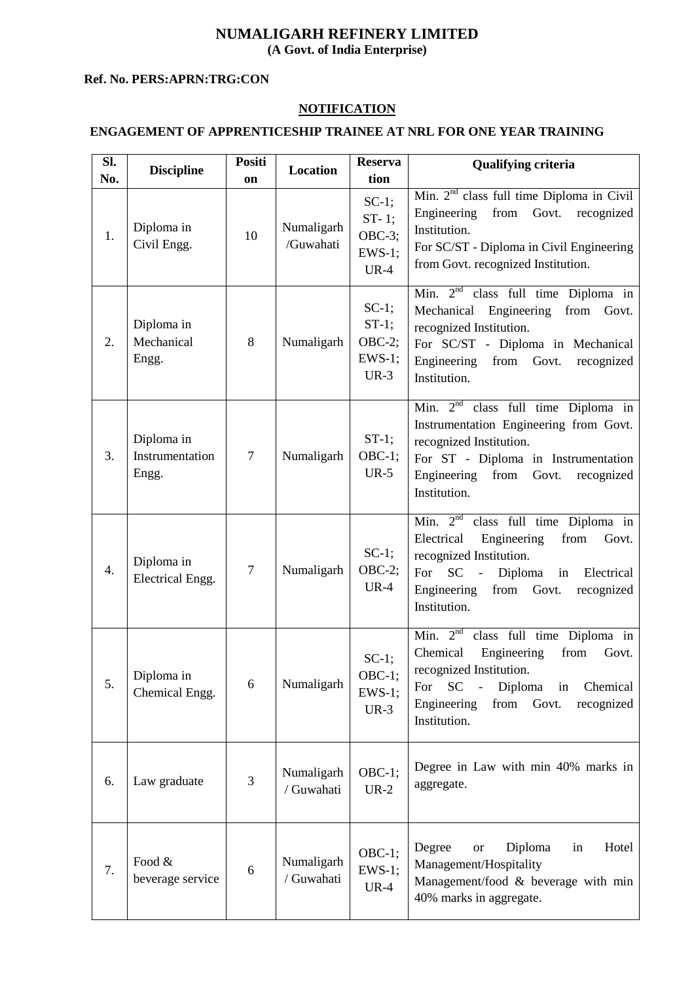# **NUMALIGARH REFINERY LIMITED**

**(A Govt. of India Enterprise)** 

#### **Ref. No. PERS:APRN:TRG:CON**

## **NOTIFICATION**

## **ENGAGEMENT OF APPRENTICESHIP TRAINEE AT NRL FOR ONE YEAR TRAINING**

| SI.<br>No. | <b>Discipline</b>                      | Positi<br>on   | <b>Location</b>          | <b>Reserva</b><br>tion                                | <b>Qualifying criteria</b>                                                                                                                                                                                                                        |
|------------|----------------------------------------|----------------|--------------------------|-------------------------------------------------------|---------------------------------------------------------------------------------------------------------------------------------------------------------------------------------------------------------------------------------------------------|
| 1.         | Diploma in<br>Civil Engg.              | 10             | Numaligarh<br>/Guwahati  | $SC-1;$<br>$ST-1;$<br>$OBC-3;$<br>$EWS-1$ ;<br>$UR-4$ | Min. 2 <sup>nd</sup> class full time Diploma in Civil<br>from<br>Govt.<br>Engineering<br>recognized<br>Institution.<br>For SC/ST - Diploma in Civil Engineering<br>from Govt. recognized Institution.                                             |
| 2.         | Diploma in<br>Mechanical<br>Engg.      | 8              | Numaligarh               | $SC-1;$<br>$ST-1$ ;<br>$OBC-2;$<br>$EWS-1;$<br>$UR-3$ | Min. $2nd$ class full time Diploma in<br>Mechanical Engineering<br>from<br>Govt.<br>recognized Institution.<br>For SC/ST - Diploma in Mechanical<br>Engineering from Govt.<br>recognized<br>Institution.                                          |
| 3.         | Diploma in<br>Instrumentation<br>Engg. | $\tau$         | Numaligarh               | $ST-1;$<br>$OBC-1;$<br>$UR-5$                         | Min. $2nd$ class full time Diploma in<br>Instrumentation Engineering from Govt.<br>recognized Institution.<br>For ST - Diploma in Instrumentation<br>Engineering from<br>Govt.<br>recognized<br>Institution.                                      |
| 4.         | Diploma in<br>Electrical Engg.         | $\overline{7}$ | Numaligarh               | $SC-1$ ;<br>$OBC-2;$<br>$UR-4$                        | $\overline{\text{Min.}}$ $2^{\text{nd}}$ class full time Diploma in<br>Engineering<br>from<br>Electrical<br>Govt.<br>recognized Institution.<br>$SC -$<br>For<br>Diploma in Electrical<br>Engineering<br>from Govt.<br>recognized<br>Institution. |
| 5.         | Diploma in<br>Chemical Engg.           | 6              | Numaligarh               | $SC-1$ :<br>OBC-1;<br>$EWS-1;$<br>$UR-3$              | Min. $2nd$<br>class full time Diploma in<br>Chemical<br>Engineering<br>from<br>Govt.<br>recognized Institution.<br>Diploma<br>Chemical<br>$SC -$<br>For<br>in<br>Engineering<br>from<br>Govt.<br>recognized<br>Institution.                       |
| 6.         | Law graduate                           | 3              | Numaligarh<br>/ Guwahati | $OBC-1;$<br>$UR-2$                                    | Degree in Law with min 40% marks in<br>aggregate.                                                                                                                                                                                                 |
| 7.         | Food &<br>beverage service             | 6              | Numaligarh<br>/ Guwahati | $OBC-1;$<br>$EWS-1;$<br>$UR-4$                        | Degree<br>Diploma<br>Hotel<br>in<br><b>or</b><br>Management/Hospitality<br>Management/food & beverage with min<br>40% marks in aggregate.                                                                                                         |